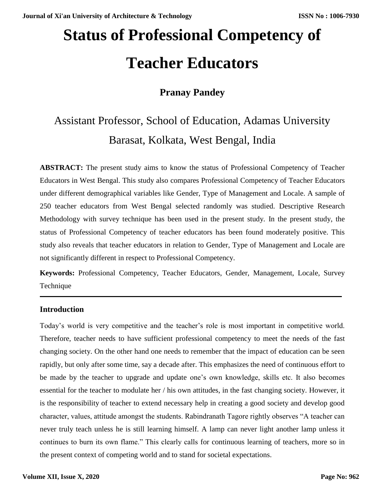# **Status of Professional Competency of Teacher Educators**

### **Pranay Pandey**

## Assistant Professor, School of Education, Adamas University Barasat, Kolkata, West Bengal, India

**ABSTRACT:** The present study aims to know the status of Professional Competency of Teacher Educators in West Bengal. This study also compares Professional Competency of Teacher Educators under different demographical variables like Gender, Type of Management and Locale. A sample of 250 teacher educators from West Bengal selected randomly was studied. Descriptive Research Methodology with survey technique has been used in the present study. In the present study, the status of Professional Competency of teacher educators has been found moderately positive. This study also reveals that teacher educators in relation to Gender, Type of Management and Locale are not significantly different in respect to Professional Competency.

**Keywords:** Professional Competency, Teacher Educators, Gender, Management, Locale, Survey Technique

#### **Introduction**

Today's world is very competitive and the teacher's role is most important in competitive world. Therefore, teacher needs to have sufficient professional competency to meet the needs of the fast changing society. On the other hand one needs to remember that the impact of education can be seen rapidly, but only after some time, say a decade after. This emphasizes the need of continuous effort to be made by the teacher to upgrade and update one's own knowledge, skills etc. It also becomes essential for the teacher to modulate her / his own attitudes, in the fast changing society. However, it is the responsibility of teacher to extend necessary help in creating a good society and develop good character, values, attitude amongst the students. Rabindranath Tagore rightly observes "A teacher can never truly teach unless he is still learning himself. A lamp can never light another lamp unless it continues to burn its own flame." This clearly calls for continuous learning of teachers, more so in the present context of competing world and to stand for societal expectations.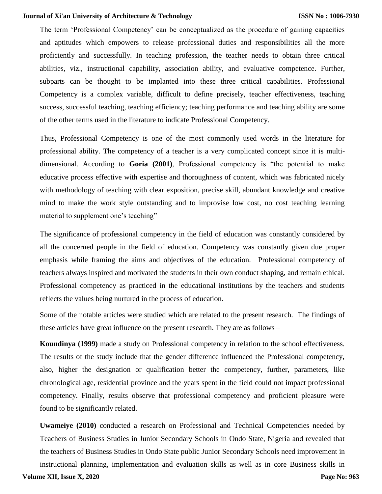The term 'Professional Competency' can be conceptualized as the procedure of gaining capacities and aptitudes which empowers to release professional duties and responsibilities all the more proficiently and successfully. In teaching profession, the teacher needs to obtain three critical abilities, viz., instructional capability, association ability, and evaluative competence. Further, subparts can be thought to be implanted into these three critical capabilities. Professional Competency is a complex variable, difficult to define precisely, teacher effectiveness, teaching success, successful teaching, teaching efficiency; teaching performance and teaching ability are some of the other terms used in the literature to indicate Professional Competency.

Thus, Professional Competency is one of the most commonly used words in the literature for professional ability. The competency of a teacher is a very complicated concept since it is multidimensional. According to **Goria (2001)**, Professional competency is "the potential to make educative process effective with expertise and thoroughness of content, which was fabricated nicely with methodology of teaching with clear exposition, precise skill, abundant knowledge and creative mind to make the work style outstanding and to improvise low cost, no cost teaching learning material to supplement one's teaching"

The significance of professional competency in the field of education was constantly considered by all the concerned people in the field of education. Competency was constantly given due proper emphasis while framing the aims and objectives of the education. Professional competency of teachers always inspired and motivated the students in their own conduct shaping, and remain ethical. Professional competency as practiced in the educational institutions by the teachers and students reflects the values being nurtured in the process of education.

Some of the notable articles were studied which are related to the present research. The findings of these articles have great influence on the present research. They are as follows –

**Koundinya (1999)** made a study on Professional competency in relation to the school effectiveness. The results of the study include that the gender difference influenced the Professional competency, also, higher the designation or qualification better the competency, further, parameters, like chronological age, residential province and the years spent in the field could not impact professional competency. Finally, results observe that professional competency and proficient pleasure were found to be significantly related.

**Uwameiye (2010)** conducted a research on Professional and Technical Competencies needed by Teachers of Business Studies in Junior Secondary Schools in Ondo State, Nigeria and revealed that the teachers of Business Studies in Ondo State public Junior Secondary Schools need improvement in instructional planning, implementation and evaluation skills as well as in core Business skills in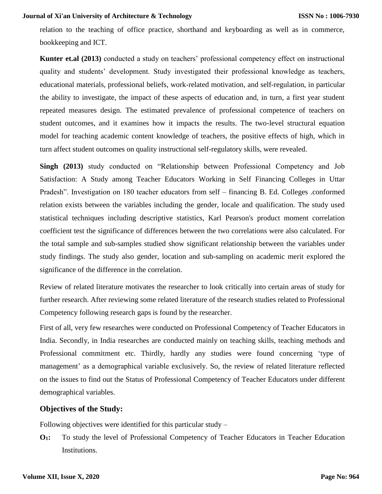relation to the teaching of office practice, shorthand and keyboarding as well as in commerce, bookkeeping and ICT.

**Kunter et.al (2013)** conducted a study on teachers' professional competency effect on instructional quality and students' development. Study investigated their professional knowledge as teachers, educational materials, professional beliefs, work-related motivation, and self-regulation, in particular the ability to investigate, the impact of these aspects of education and, in turn, a first year student repeated measures design. The estimated prevalence of professional competence of teachers on student outcomes, and it examines how it impacts the results. The two-level structural equation model for teaching academic content knowledge of teachers, the positive effects of high, which in turn affect student outcomes on quality instructional self-regulatory skills, were revealed.

**Singh (2013)** study conducted on "Relationship between Professional Competency and Job Satisfaction: A Study among Teacher Educators Working in Self Financing Colleges in Uttar Pradesh". Investigation on 180 teacher educators from self – financing B. Ed. Colleges .conformed relation exists between the variables including the gender, locale and qualification. The study used statistical techniques including descriptive statistics, Karl Pearson's product moment correlation coefficient test the significance of differences between the two correlations were also calculated. For the total sample and sub-samples studied show significant relationship between the variables under study findings. The study also gender, location and sub-sampling on academic merit explored the significance of the difference in the correlation.

Review of related literature motivates the researcher to look critically into certain areas of study for further research. After reviewing some related literature of the research studies related to Professional Competency following research gaps is found by the researcher.

First of all, very few researches were conducted on Professional Competency of Teacher Educators in India. Secondly, in India researches are conducted mainly on teaching skills, teaching methods and Professional commitment etc. Thirdly, hardly any studies were found concerning 'type of management' as a demographical variable exclusively. So, the review of related literature reflected on the issues to find out the Status of Professional Competency of Teacher Educators under different demographical variables.

#### **Objectives of the Study:**

Following objectives were identified for this particular study –

**O1:** To study the level of Professional Competency of Teacher Educators in Teacher Education Institutions.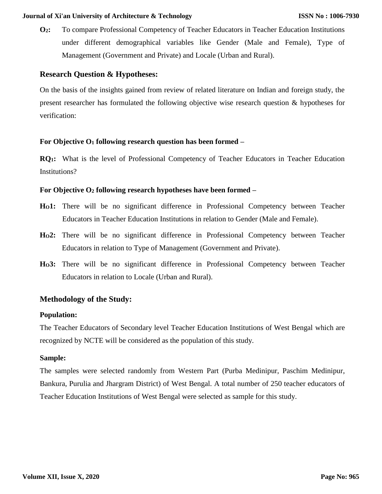**O2:** To compare Professional Competency of Teacher Educators in Teacher Education Institutions under different demographical variables like Gender (Male and Female), Type of Management (Government and Private) and Locale (Urban and Rural).

#### **Research Question & Hypotheses:**

On the basis of the insights gained from review of related literature on Indian and foreign study, the present researcher has formulated the following objective wise research question & hypotheses for verification:

#### **For Objective O<sup>1</sup> following research question has been formed –**

**RQ1:** What is the level of Professional Competency of Teacher Educators in Teacher Education Institutions?

#### **For Objective O<sup>2</sup> following research hypotheses have been formed –**

- **HO1:** There will be no significant difference in Professional Competency between Teacher Educators in Teacher Education Institutions in relation to Gender (Male and Female).
- **HO2:** There will be no significant difference in Professional Competency between Teacher Educators in relation to Type of Management (Government and Private).
- **HO3:** There will be no significant difference in Professional Competency between Teacher Educators in relation to Locale (Urban and Rural).

#### **Methodology of the Study:**

#### **Population:**

The Teacher Educators of Secondary level Teacher Education Institutions of West Bengal which are recognized by NCTE will be considered as the population of this study.

#### **Sample:**

The samples were selected randomly from Western Part (Purba Medinipur, Paschim Medinipur, Bankura, Purulia and Jhargram District) of West Bengal. A total number of 250 teacher educators of Teacher Education Institutions of West Bengal were selected as sample for this study.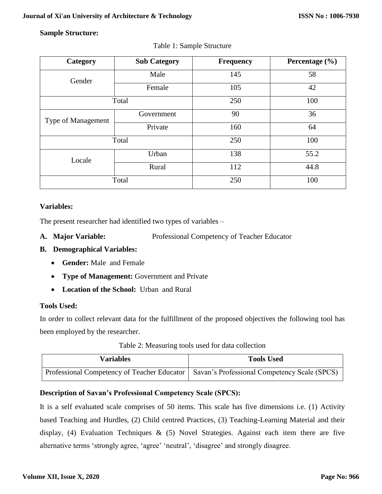#### **Sample Structure:**

| Category           | <b>Sub Category</b> | <b>Frequency</b> | Percentage $(\% )$ |  |
|--------------------|---------------------|------------------|--------------------|--|
| Gender             | Male                | 145              | 58                 |  |
|                    | Female              | 105              | 42                 |  |
|                    | Total               | 250              | 100                |  |
| Type of Management | Government          | 90               | 36                 |  |
|                    | Private             | 160              | 64                 |  |
|                    | Total               | 250              | 100                |  |
| Locale             | Urban               | 138              | 55.2               |  |
|                    | Rural               | 112              | 44.8               |  |
|                    | Total               | 250              | 100                |  |

#### Table 1: Sample Structure

#### **Variables:**

The present researcher had identified two types of variables –

**A. Major Variable:** Professional Competency of Teacher Educator

#### **B. Demographical Variables:**

- **Gender:** Male and Female
- **Type of Management:** Government and Private
- **Location of the School:** Urban and Rural

#### **Tools Used:**

In order to collect relevant data for the fulfillment of the proposed objectives the following tool has been employed by the researcher.

| Table 2: Measuring tools used for data collection |  |
|---------------------------------------------------|--|
|---------------------------------------------------|--|

| Variables | <b>Tools Used</b>                                                                          |
|-----------|--------------------------------------------------------------------------------------------|
|           | Professional Competency of Teacher Educator   Savan's Professional Competency Scale (SPCS) |

#### **Description of Savan's Professional Competency Scale (SPCS):**

It is a self evaluated scale comprises of 50 items. This scale has five dimensions i.e. (1) Activity based Teaching and Hurdles, (2) Child centred Practices, (3) Teaching-Learning Material and their display, (4) Evaluation Techniques & (5) Novel Strategies. Against each item there are five alternative terms 'strongly agree, 'agree' 'neutral', 'disagree' and strongly disagree.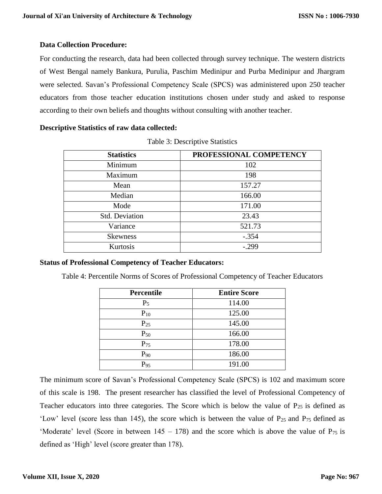#### **Data Collection Procedure:**

For conducting the research, data had been collected through survey technique. The western districts of West Bengal namely Bankura, Purulia, Paschim Medinipur and Purba Medinipur and Jhargram were selected. Savan's Professional Competency Scale (SPCS) was administered upon 250 teacher educators from those teacher education institutions chosen under study and asked to response according to their own beliefs and thoughts without consulting with another teacher.

#### **Descriptive Statistics of raw data collected:**

| <b>Statistics</b> | PROFESSIONAL COMPETENCY |
|-------------------|-------------------------|
| Minimum           | 102                     |
| Maximum           | 198                     |
| Mean              | 157.27                  |
| Median            | 166.00                  |
| Mode              | 171.00                  |
| Std. Deviation    | 23.43                   |
| Variance          | 521.73                  |
| <b>Skewness</b>   | $-.354$                 |
| Kurtosis          | $-.299$                 |

Table 3: Descriptive Statistics

#### **Status of Professional Competency of Teacher Educators:**

Table 4: Percentile Norms of Scores of Professional Competency of Teacher Educators

| <b>Percentile</b> | <b>Entire Score</b> |
|-------------------|---------------------|
| $P_5$             | 114.00              |
| $P_{10}$          | 125.00              |
| $P_{25}$          | 145.00              |
| $P_{50}$          | 166.00              |
| $P_{75}$          | 178.00              |
| $P_{90}$          | 186.00              |
| $P_{95}$          | 191.00              |

The minimum score of Savan's Professional Competency Scale (SPCS) is 102 and maximum score of this scale is 198. The present researcher has classified the level of Professional Competency of Teacher educators into three categories. The Score which is below the value of  $P_{25}$  is defined as 'Low' level (score less than 145), the score which is between the value of  $P_{25}$  and  $P_{75}$  defined as 'Moderate' level (Score in between  $145 - 178$ ) and the score which is above the value of  $P_{75}$  is defined as 'High' level (score greater than 178).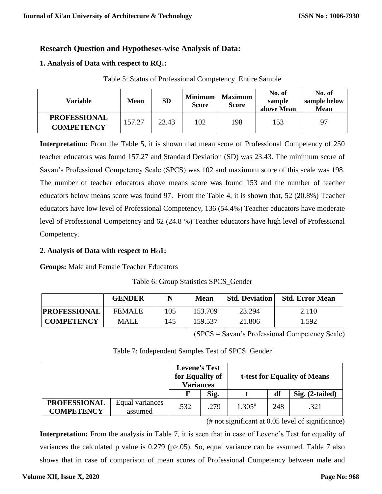#### **Research Question and Hypotheses-wise Analysis of Data:**

#### **1. Analysis of Data with respect to RQ1:**

| Table 5: Status of Professional Competency_Entire Sample |  |  |
|----------------------------------------------------------|--|--|
|----------------------------------------------------------|--|--|

| Variable                                 | Mean   | <b>SD</b> | <b>Minimum</b><br><b>Score</b> | <b>Maximum</b><br><b>Score</b> | No. of<br>sample<br>above Mean | No. of<br>sample below<br><b>Mean</b> |
|------------------------------------------|--------|-----------|--------------------------------|--------------------------------|--------------------------------|---------------------------------------|
| <b>PROFESSIONAL</b><br><b>COMPETENCY</b> | 157.27 | 23.43     | 102                            | 198                            | 153                            | Q <sub>7</sub>                        |

**Interpretation:** From the Table 5, it is shown that mean score of Professional Competency of 250 teacher educators was found 157.27 and Standard Deviation (SD) was 23.43. The minimum score of Savan's Professional Competency Scale (SPCS) was 102 and maximum score of this scale was 198. The number of teacher educators above means score was found 153 and the number of teacher educators below means score was found 97. From the Table 4, it is shown that, 52 (20.8%) Teacher educators have low level of Professional Competency, 136 (54.4%) Teacher educators have moderate level of Professional Competency and 62 (24.8 %) Teacher educators have high level of Professional Competency.

#### **2. Analysis of Data with respect to HO1:**

**Groups:** Male and Female Teacher Educators

|  |  | Table 6: Group Statistics SPCS_Gender |  |  |
|--|--|---------------------------------------|--|--|
|--|--|---------------------------------------|--|--|

|                     | <b>GENDER</b> |     | <b>Mean</b> | <b>Std. Deviation</b> | <b>Std. Error Mean</b> |
|---------------------|---------------|-----|-------------|-----------------------|------------------------|
| <b>PROFESSIONAL</b> | <b>FEMALE</b> | 105 | 153.709     | 23.294                | 2.110                  |
| <b>COMPETENCY</b>   | <b>MALE</b>   | 145 | 159.537     | 21.806                | .592                   |

(SPCS = Savan's Professional Competency Scale)

|                                          |                            | <b>Levene's Test</b><br>for Equality of<br><b>Variances</b><br>Sig. |      | t-test for Equality of Means |     |                   |  |
|------------------------------------------|----------------------------|---------------------------------------------------------------------|------|------------------------------|-----|-------------------|--|
|                                          |                            |                                                                     |      |                              | df  | $Sig. (2-tailed)$ |  |
| <b>PROFESSIONAL</b><br><b>COMPETENCY</b> | Equal variances<br>assumed | .532                                                                | .279 | $1.305^{\#}$                 | 248 | .321              |  |

Table 7: Independent Samples Test of SPCS\_Gender

(# not significant at 0.05 level of significance)

**Interpretation:** From the analysis in Table 7, it is seen that in case of Levene's Test for equality of variances the calculated p value is 0.279 (p>.05). So, equal variance can be assumed. Table 7 also shows that in case of comparison of mean scores of Professional Competency between male and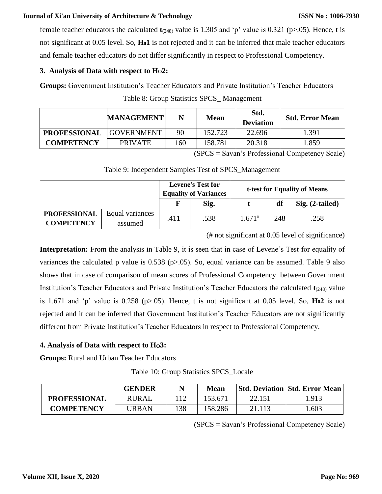female teacher educators the calculated **t**(248) value is 1.305 and 'p' value is 0.321 (p>.05). Hence, t is not significant at 0.05 level. So, **H01** is not rejected and it can be inferred that male teacher educators and female teacher educators do not differ significantly in respect to Professional Competency.

#### **3. Analysis of Data with respect to HO2:**

**Groups:** Government Institution's Teacher Educators and Private Institution's Teacher Educators Table 8: Group Statistics SPCS\_ Management

|                     | <b>MANAGEMENT</b> | N   | <b>Mean</b> | Std.<br><b>Deviation</b> | <b>Std. Error Mean</b> |
|---------------------|-------------------|-----|-------------|--------------------------|------------------------|
| <b>PROFESSIONAL</b> | <b>GOVERNMENT</b> | 90  | 152.723     | 22.696                   | 1.391                  |
| <b>COMPETENCY</b>   | <b>PRIVATE</b>    | 160 | 158.781     | 20.318                   | 1.859                  |

(SPCS = Savan's Professional Competency Scale)

Table 9: Independent Samples Test of SPCS\_Management

|                                          |                            |      | <b>Levene's Test for</b><br><b>Equality of Variances</b> | t-test for Equality of Means |     |                   |
|------------------------------------------|----------------------------|------|----------------------------------------------------------|------------------------------|-----|-------------------|
|                                          |                            |      | Sig.                                                     |                              | df  | $Sig. (2-tailed)$ |
| <b>PROFESSIONAL</b><br><b>COMPETENCY</b> | Equal variances<br>assumed | .411 | .538                                                     | $1.671^{*}$                  | 248 | .258              |

(# not significant at 0.05 level of significance)

**Interpretation:** From the analysis in Table 9, it is seen that in case of Levene's Test for equality of variances the calculated p value is 0.538 (p>.05). So, equal variance can be assumed. Table 9 also shows that in case of comparison of mean scores of Professional Competency between Government Institution's Teacher Educators and Private Institution's Teacher Educators the calculated  $t_{(248)}$  value is 1.671 and 'p' value is 0.258 (p>.05). Hence, t is not significant at 0.05 level. So, **H02** is not rejected and it can be inferred that Government Institution's Teacher Educators are not significantly different from Private Institution's Teacher Educators in respect to Professional Competency.

#### **4. Analysis of Data with respect to HO3:**

**Groups:** Rural and Urban Teacher Educators

Table 10: Group Statistics SPCS\_Locale

|                     | <b>GENDER</b> | N   | Mean    |        | Std. Deviation   Std. Error Mean |
|---------------------|---------------|-----|---------|--------|----------------------------------|
| <b>PROFESSIONAL</b> | <b>RURAL</b>  |     | 153.67  | 22.151 | 1.913                            |
| <b>COMPETENCY</b>   | URBAN         | 138 | 158.286 | 21.113 | .603                             |

(SPCS = Savan's Professional Competency Scale)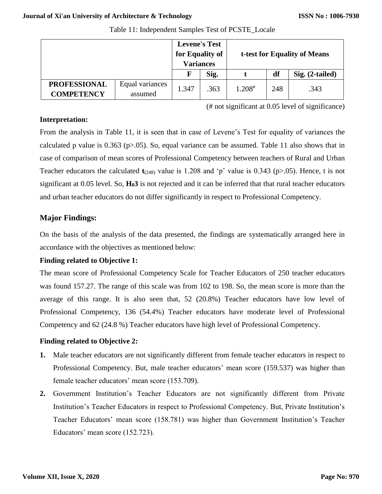|                     |                 | <b>Levene's Test</b><br>for Equality of<br><b>Variances</b> |      | t-test for Equality of Means |     |                 |
|---------------------|-----------------|-------------------------------------------------------------|------|------------------------------|-----|-----------------|
|                     |                 | $\mathbf F$                                                 | Sig. |                              | df  | Sig. (2-tailed) |
| <b>PROFESSIONAL</b> | Equal variances | 1.347                                                       | .363 | $1.208^{\#}$                 | 248 | .343            |
| <b>COMPETENCY</b>   | assumed         |                                                             |      |                              |     |                 |

Table 11: Independent Samples Test of PCSTE\_Locale

(# not significant at 0.05 level of significance)

#### **Interpretation:**

From the analysis in Table 11, it is seen that in case of Levene's Test for equality of variances the calculated p value is  $0.363$  (p $>0.05$ ). So, equal variance can be assumed. Table 11 also shows that in case of comparison of mean scores of Professional Competency between teachers of Rural and Urban Teacher educators the calculated  $t_{(248)}$  value is 1.208 and 'p' value is 0.343 (p>.05). Hence, t is not significant at 0.05 level. So, **H03** is not rejected and it can be inferred that that rural teacher educators and urban teacher educators do not differ significantly in respect to Professional Competency.

#### **Major Findings:**

On the basis of the analysis of the data presented, the findings are systematically arranged here in accordance with the objectives as mentioned below:

#### **Finding related to Objective 1:**

The mean score of Professional Competency Scale for Teacher Educators of 250 teacher educators was found 157.27. The range of this scale was from 102 to 198. So, the mean score is more than the average of this range. It is also seen that, 52 (20.8%) Teacher educators have low level of Professional Competency, 136 (54.4%) Teacher educators have moderate level of Professional Competency and 62 (24.8 %) Teacher educators have high level of Professional Competency.

#### **Finding related to Objective 2:**

- **1.** Male teacher educators are not significantly different from female teacher educators in respect to Professional Competency. But, male teacher educators' mean score (159.537) was higher than female teacher educators' mean score (153.709).
- **2.** Government Institution's Teacher Educators are not significantly different from Private Institution's Teacher Educators in respect to Professional Competency. But, Private Institution's Teacher Educators' mean score (158.781) was higher than Government Institution's Teacher Educators' mean score (152.723).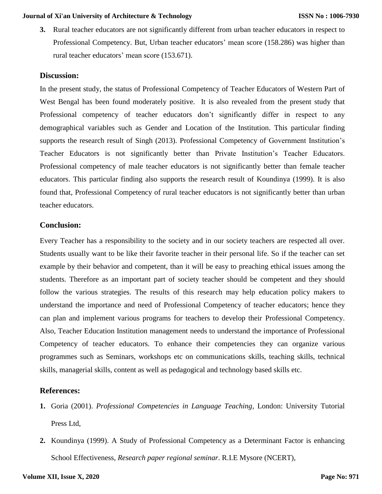**3.** Rural teacher educators are not significantly different from urban teacher educators in respect to Professional Competency. But, Urban teacher educators' mean score (158.286) was higher than rural teacher educators' mean score (153.671).

#### **Discussion:**

In the present study, the status of Professional Competency of Teacher Educators of Western Part of West Bengal has been found moderately positive. It is also revealed from the present study that Professional competency of teacher educators don't significantly differ in respect to any demographical variables such as Gender and Location of the Institution. This particular finding supports the research result of Singh (2013). Professional Competency of Government Institution's Teacher Educators is not significantly better than Private Institution's Teacher Educators. Professional competency of male teacher educators is not significantly better than female teacher educators. This particular finding also supports the research result of Koundinya (1999). It is also found that, Professional Competency of rural teacher educators is not significantly better than urban teacher educators.

#### **Conclusion:**

Every Teacher has a responsibility to the society and in our society teachers are respected all over. Students usually want to be like their favorite teacher in their personal life. So if the teacher can set example by their behavior and competent, than it will be easy to preaching ethical issues among the students. Therefore as an important part of society teacher should be competent and they should follow the various strategies. The results of this research may help education policy makers to understand the importance and need of Professional Competency of teacher educators; hence they can plan and implement various programs for teachers to develop their Professional Competency. Also, Teacher Education Institution management needs to understand the importance of Professional Competency of teacher educators. To enhance their competencies they can organize various programmes such as Seminars, workshops etc on communications skills, teaching skills, technical skills, managerial skills, content as well as pedagogical and technology based skills etc.

#### **References:**

- **1.** Goria (2001). *Professional Competencies in Language Teaching,* London: University Tutorial Press Ltd,
- **2.** Koundinya (1999). A Study of Professional Competency as a Determinant Factor is enhancing School Effectiveness, *Research paper regional seminar*. R.I.E Mysore (NCERT),